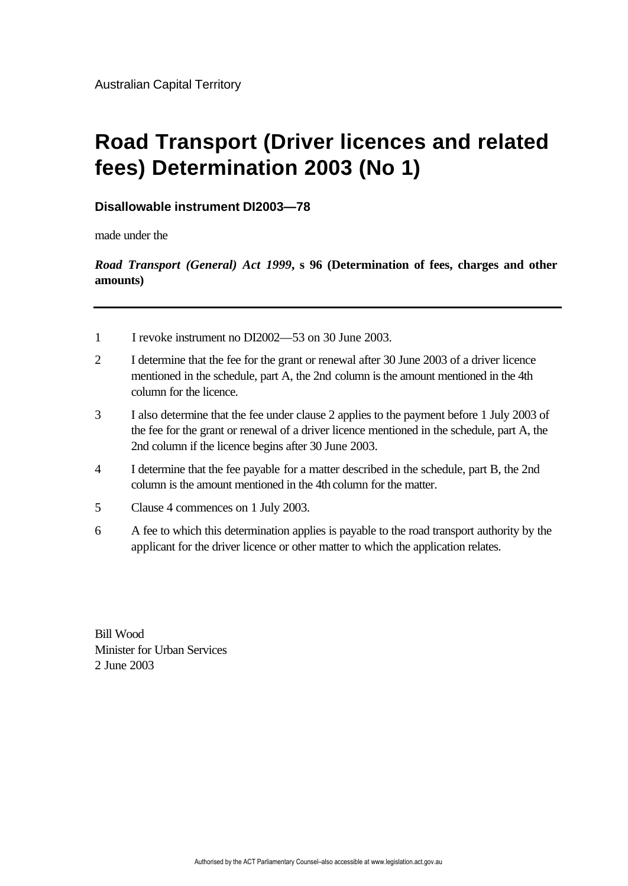# **Road Transport (Driver licences and related fees) Determination 2003 (No 1)**

#### **Disallowable instrument DI2003—78**

made under the

*Road Transport (General) Act 1999***, s 96 (Determination of fees, charges and other amounts)**

- 1 I revoke instrument no DI2002—53 on 30 June 2003.
- 2 I determine that the fee for the grant or renewal after 30 June 2003 of a driver licence mentioned in the schedule, part A, the 2nd column is the amount mentioned in the 4th column for the licence.
- 3 I also determine that the fee under clause 2 applies to the payment before 1 July 2003 of the fee for the grant or renewal of a driver licence mentioned in the schedule, part A, the 2nd column if the licence begins after 30 June 2003.
- 4 I determine that the fee payable for a matter described in the schedule, part B, the 2nd column is the amount mentioned in the 4th column for the matter.
- 5 Clause 4 commences on 1 July 2003.
- 6 A fee to which this determination applies is payable to the road transport authority by the applicant for the driver licence or other matter to which the application relates.

Bill Wood Minister for Urban Services 2 June 2003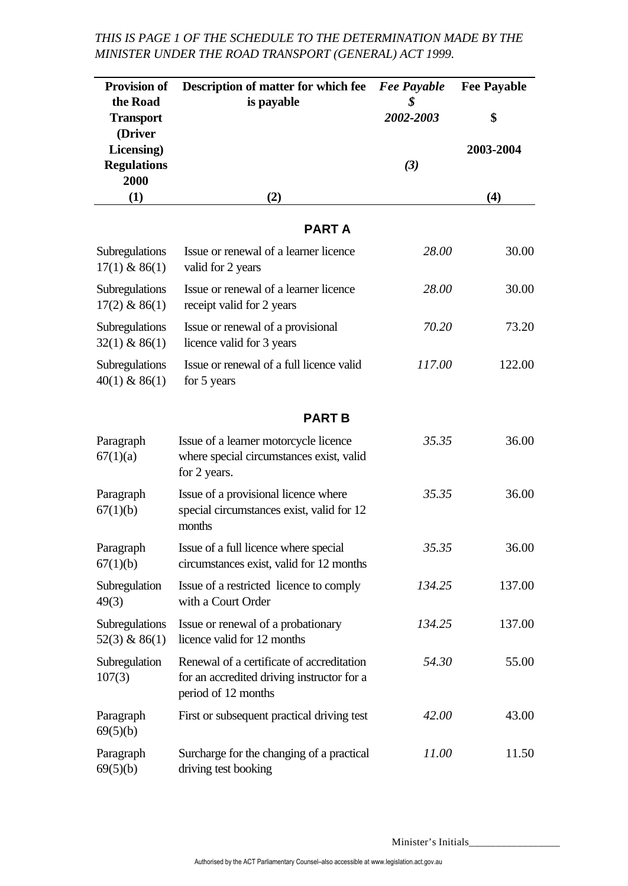#### *THIS IS PAGE 1 OF THE SCHEDULE TO THE DETERMINATION MADE BY THE MINISTER UNDER THE ROAD TRANSPORT (GENERAL) ACT 1999.*

| <b>Provision of</b>               | Description of matter for which fee                                                                            | <b>Fee Payable</b> | <b>Fee Payable</b> |
|-----------------------------------|----------------------------------------------------------------------------------------------------------------|--------------------|--------------------|
| the Road                          | is payable                                                                                                     | \$<br>2002-2003    | \$                 |
| <b>Transport</b><br>(Driver       |                                                                                                                |                    |                    |
| Licensing)                        |                                                                                                                |                    | 2003-2004          |
| <b>Regulations</b><br>2000        |                                                                                                                | $(3)$              |                    |
| (1)                               | (2)                                                                                                            |                    | (4)                |
|                                   |                                                                                                                |                    |                    |
|                                   | <b>PARTA</b>                                                                                                   |                    |                    |
| Subregulations<br>$17(1)$ & 86(1) | Issue or renewal of a learner licence<br>valid for 2 years                                                     | 28.00              | 30.00              |
| Subregulations<br>$17(2)$ & 86(1) | Issue or renewal of a learner licence<br>receipt valid for 2 years                                             | 28.00              | 30.00              |
| Subregulations<br>$32(1)$ & 86(1) | Issue or renewal of a provisional<br>licence valid for 3 years                                                 | 70.20              | 73.20              |
| Subregulations<br>$40(1)$ & 86(1) | Issue or renewal of a full licence valid<br>for 5 years                                                        | 117.00             | 122.00             |
|                                   | <b>PART B</b>                                                                                                  |                    |                    |
| Paragraph<br>67(1)(a)             | Issue of a learner motorcycle licence<br>where special circumstances exist, valid<br>for 2 years.              | 35.35              | 36.00              |
| Paragraph<br>67(1)(b)             | Issue of a provisional licence where<br>special circumstances exist, valid for 12<br>months                    | 35.35              | 36.00              |
| Paragraph<br>67(1)(b)             | Issue of a full licence where special<br>circumstances exist, valid for 12 months                              | 35.35              | 36.00              |
| Subregulation<br>49(3)            | Issue of a restricted licence to comply<br>with a Court Order                                                  | 134.25             | 137.00             |
| Subregulations<br>$52(3)$ & 86(1) | Issue or renewal of a probationary<br>licence valid for 12 months                                              | 134.25             | 137.00             |
| Subregulation<br>107(3)           | Renewal of a certificate of accreditation<br>for an accredited driving instructor for a<br>period of 12 months | 54.30              | 55.00              |
| Paragraph<br>69(5)(b)             | First or subsequent practical driving test                                                                     | 42.00              | 43.00              |
| Paragraph<br>69(5)(b)             | Surcharge for the changing of a practical<br>driving test booking                                              | 11.00              | 11.50              |